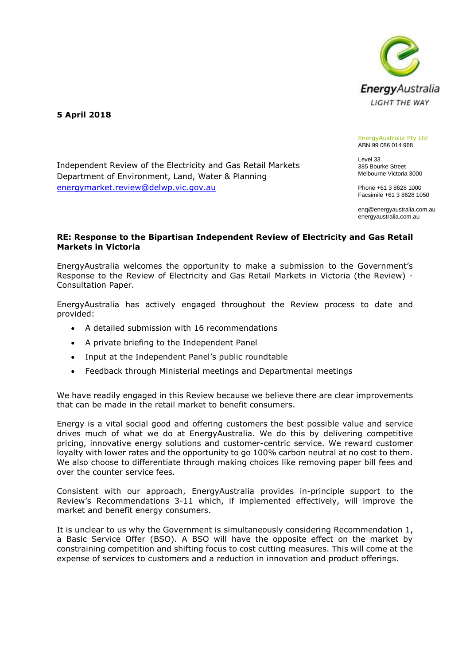

**5 April 2018**

#### EnergyAustralia Pty Ltd ABN 99 086 014 968

Level 33 385 Bourke Street Melbourne Victoria 3000

Phone +61 3 8628 1000 Facsimile +61 3 8628 1050

enq@energyaustralia.com.au energyaustralia.com.au

## **RE: Response to the Bipartisan Independent Review of Electricity and Gas Retail Markets in Victoria**

EnergyAustralia welcomes the opportunity to make a submission to the Government's Response to the Review of Electricity and Gas Retail Markets in Victoria (the Review) - Consultation Paper.

EnergyAustralia has actively engaged throughout the Review process to date and provided:

• A detailed submission with 16 recommendations

Independent Review of the Electricity and Gas Retail Markets

Department of Environment, Land, Water & Planning

[energymarket.review@delwp.vic.gov.au](mailto:energymarket.review@delwp.vic.gov.au)

- A private briefing to the Independent Panel
- Input at the Independent Panel's public roundtable
- Feedback through Ministerial meetings and Departmental meetings

We have readily engaged in this Review because we believe there are clear improvements that can be made in the retail market to benefit consumers.

Energy is a vital social good and offering customers the best possible value and service drives much of what we do at EnergyAustralia. We do this by delivering competitive pricing, innovative energy solutions and customer-centric service. We reward customer loyalty with lower rates and the opportunity to go 100% carbon neutral at no cost to them. We also choose to differentiate through making choices like removing paper bill fees and over the counter service fees.

Consistent with our approach, EnergyAustralia provides in-principle support to the Review's Recommendations 3-11 which, if implemented effectively, will improve the market and benefit energy consumers.

It is unclear to us why the Government is simultaneously considering Recommendation 1, a Basic Service Offer (BSO). A BSO will have the opposite effect on the market by constraining competition and shifting focus to cost cutting measures. This will come at the expense of services to customers and a reduction in innovation and product offerings.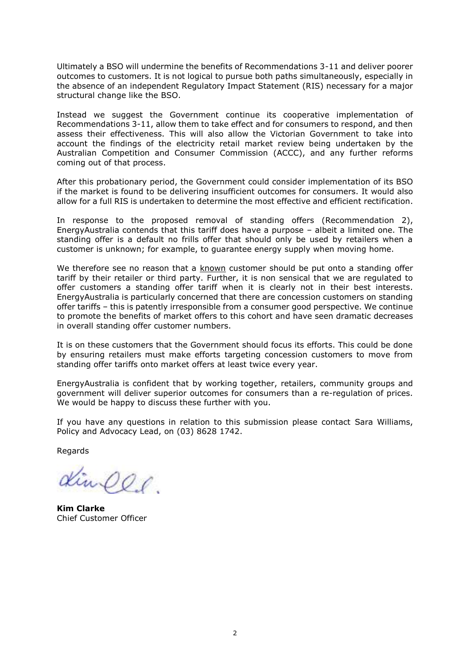Ultimately a BSO will undermine the benefits of Recommendations 3-11 and deliver poorer outcomes to customers. It is not logical to pursue both paths simultaneously, especially in the absence of an independent Regulatory Impact Statement (RIS) necessary for a major structural change like the BSO.

Instead we suggest the Government continue its cooperative implementation of Recommendations 3-11, allow them to take effect and for consumers to respond, and then assess their effectiveness. This will also allow the Victorian Government to take into account the findings of the electricity retail market review being undertaken by the Australian Competition and Consumer Commission (ACCC), and any further reforms coming out of that process.

After this probationary period, the Government could consider implementation of its BSO if the market is found to be delivering insufficient outcomes for consumers. It would also allow for a full RIS is undertaken to determine the most effective and efficient rectification.

In response to the proposed removal of standing offers (Recommendation 2), EnergyAustralia contends that this tariff does have a purpose – albeit a limited one. The standing offer is a default no frills offer that should only be used by retailers when a customer is unknown; for example, to guarantee energy supply when moving home.

We therefore see no reason that a known customer should be put onto a standing offer tariff by their retailer or third party. Further, it is non sensical that we are regulated to offer customers a standing offer tariff when it is clearly not in their best interests. EnergyAustralia is particularly concerned that there are concession customers on standing offer tariffs – this is patently irresponsible from a consumer good perspective. We continue to promote the benefits of market offers to this cohort and have seen dramatic decreases in overall standing offer customer numbers.

It is on these customers that the Government should focus its efforts. This could be done by ensuring retailers must make efforts targeting concession customers to move from standing offer tariffs onto market offers at least twice every year.

EnergyAustralia is confident that by working together, retailers, community groups and government will deliver superior outcomes for consumers than a re-regulation of prices. We would be happy to discuss these further with you.

If you have any questions in relation to this submission please contact Sara Williams, Policy and Advocacy Lead, on (03) 8628 1742.

Regards

Kinees.

**Kim Clarke** Chief Customer Officer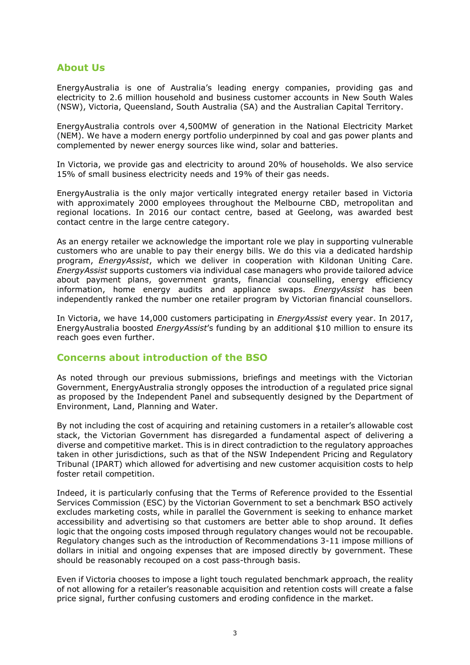# **About Us**

EnergyAustralia is one of Australia's leading energy companies, providing gas and electricity to 2.6 million household and business customer accounts in New South Wales (NSW), Victoria, Queensland, South Australia (SA) and the Australian Capital Territory.

EnergyAustralia controls over 4,500MW of generation in the National Electricity Market (NEM). We have a modern energy portfolio underpinned by coal and gas power plants and complemented by newer energy sources like wind, solar and batteries.

In Victoria, we provide gas and electricity to around 20% of households. We also service 15% of small business electricity needs and 19% of their gas needs.

EnergyAustralia is the only major vertically integrated energy retailer based in Victoria with approximately 2000 employees throughout the Melbourne CBD, metropolitan and regional locations. In 2016 our contact centre, based at Geelong, was awarded best contact centre in the large centre category.

As an energy retailer we acknowledge the important role we play in supporting vulnerable customers who are unable to pay their energy bills. We do this via a dedicated hardship program, *EnergyAssist*, which we deliver in cooperation with Kildonan Uniting Care. *EnergyAssist* supports customers via individual case managers who provide tailored advice about payment plans, government grants, financial counselling, energy efficiency information, home energy audits and appliance swaps. *EnergyAssist* has been independently ranked the number one retailer program by Victorian financial counsellors.

In Victoria, we have 14,000 customers participating in *EnergyAssist* every year. In 2017, EnergyAustralia boosted *EnergyAssist*'s funding by an additional \$10 million to ensure its reach goes even further.

# **Concerns about introduction of the BSO**

As noted through our previous submissions, briefings and meetings with the Victorian Government, EnergyAustralia strongly opposes the introduction of a regulated price signal as proposed by the Independent Panel and subsequently designed by the Department of Environment, Land, Planning and Water.

By not including the cost of acquiring and retaining customers in a retailer's allowable cost stack, the Victorian Government has disregarded a fundamental aspect of delivering a diverse and competitive market. This is in direct contradiction to the regulatory approaches taken in other jurisdictions, such as that of the NSW Independent Pricing and Regulatory Tribunal (IPART) which allowed for advertising and new customer acquisition costs to help foster retail competition.

Indeed, it is particularly confusing that the Terms of Reference provided to the Essential Services Commission (ESC) by the Victorian Government to set a benchmark BSO actively excludes marketing costs, while in parallel the Government is seeking to enhance market accessibility and advertising so that customers are better able to shop around. It defies logic that the ongoing costs imposed through regulatory changes would not be recoupable. Regulatory changes such as the introduction of Recommendations 3-11 impose millions of dollars in initial and ongoing expenses that are imposed directly by government. These should be reasonably recouped on a cost pass-through basis.

Even if Victoria chooses to impose a light touch regulated benchmark approach, the reality of not allowing for a retailer's reasonable acquisition and retention costs will create a false price signal, further confusing customers and eroding confidence in the market.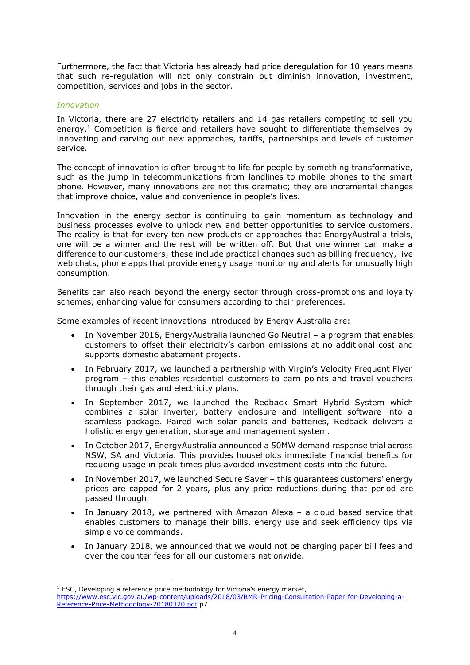Furthermore, the fact that Victoria has already had price deregulation for 10 years means that such re-regulation will not only constrain but diminish innovation, investment, competition, services and jobs in the sector.

## *Innovation*

In Victoria, there are 27 electricity retailers and 14 gas retailers competing to sell you energy.<sup>1</sup> Competition is fierce and retailers have sought to differentiate themselves by innovating and carving out new approaches, tariffs, partnerships and levels of customer service.

The concept of innovation is often brought to life for people by something transformative, such as the jump in telecommunications from landlines to mobile phones to the smart phone. However, many innovations are not this dramatic; they are incremental changes that improve choice, value and convenience in people's lives.

Innovation in the energy sector is continuing to gain momentum as technology and business processes evolve to unlock new and better opportunities to service customers. The reality is that for every ten new products or approaches that EnergyAustralia trials, one will be a winner and the rest will be written off. But that one winner can make a difference to our customers; these include practical changes such as billing frequency, live web chats, phone apps that provide energy usage monitoring and alerts for unusually high consumption.

Benefits can also reach beyond the energy sector through cross-promotions and loyalty schemes, enhancing value for consumers according to their preferences.

Some examples of recent innovations introduced by Energy Australia are:

- In November 2016, EnergyAustralia launched Go Neutral a program that enables customers to offset their electricity's carbon emissions at no additional cost and supports domestic abatement projects.
- In February 2017, we launched a partnership with Virgin's Velocity Frequent Flyer program – this enables residential customers to earn points and travel vouchers through their gas and electricity plans.
- In September 2017, we launched the Redback Smart Hybrid System which combines a solar inverter, battery enclosure and intelligent software into a seamless package. Paired with solar panels and batteries, Redback delivers a holistic energy generation, storage and management system.
- In October 2017, EnergyAustralia announced a 50MW demand response trial across NSW, SA and Victoria. This provides households immediate financial benefits for reducing usage in peak times plus avoided investment costs into the future.
- In November 2017, we launched Secure Saver this guarantees customers' energy prices are capped for 2 years, plus any price reductions during that period are passed through.
- In January 2018, we partnered with Amazon Alexa  $-$  a cloud based service that enables customers to manage their bills, energy use and seek efficiency tips via simple voice commands.
- In January 2018, we announced that we would not be charging paper bill fees and over the counter fees for all our customers nationwide.

<sup>-</sup><sup>1</sup> ESC, Developing a reference price methodology for Victoria's energy market,

[https://www.esc.vic.gov.au/wp-content/uploads/2018/03/RMR-Pricing-Consultation-Paper-for-Developing-a-](https://www.esc.vic.gov.au/wp-content/uploads/2018/03/RMR-Pricing-Consultation-Paper-for-Developing-a-Reference-Price-Methodology-20180320.pdf)[Reference-Price-Methodology-20180320.pdf](https://www.esc.vic.gov.au/wp-content/uploads/2018/03/RMR-Pricing-Consultation-Paper-for-Developing-a-Reference-Price-Methodology-20180320.pdf) p7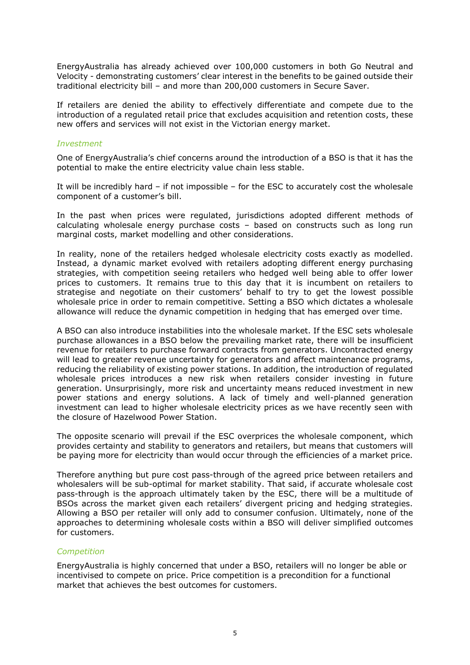EnergyAustralia has already achieved over 100,000 customers in both Go Neutral and Velocity - demonstrating customers' clear interest in the benefits to be gained outside their traditional electricity bill – and more than 200,000 customers in Secure Saver.

If retailers are denied the ability to effectively differentiate and compete due to the introduction of a regulated retail price that excludes acquisition and retention costs, these new offers and services will not exist in the Victorian energy market.

#### *Investment*

One of EnergyAustralia's chief concerns around the introduction of a BSO is that it has the potential to make the entire electricity value chain less stable.

It will be incredibly hard – if not impossible – for the ESC to accurately cost the wholesale component of a customer's bill.

In the past when prices were regulated, jurisdictions adopted different methods of calculating wholesale energy purchase costs – based on constructs such as long run marginal costs, market modelling and other considerations.

In reality, none of the retailers hedged wholesale electricity costs exactly as modelled. Instead, a dynamic market evolved with retailers adopting different energy purchasing strategies, with competition seeing retailers who hedged well being able to offer lower prices to customers. It remains true to this day that it is incumbent on retailers to strategise and negotiate on their customers' behalf to try to get the lowest possible wholesale price in order to remain competitive. Setting a BSO which dictates a wholesale allowance will reduce the dynamic competition in hedging that has emerged over time.

A BSO can also introduce instabilities into the wholesale market. If the ESC sets wholesale purchase allowances in a BSO below the prevailing market rate, there will be insufficient revenue for retailers to purchase forward contracts from generators. Uncontracted energy will lead to greater revenue uncertainty for generators and affect maintenance programs, reducing the reliability of existing power stations. In addition, the introduction of regulated wholesale prices introduces a new risk when retailers consider investing in future generation. Unsurprisingly, more risk and uncertainty means reduced investment in new power stations and energy solutions. A lack of timely and well-planned generation investment can lead to higher wholesale electricity prices as we have recently seen with the closure of Hazelwood Power Station.

The opposite scenario will prevail if the ESC overprices the wholesale component, which provides certainty and stability to generators and retailers, but means that customers will be paying more for electricity than would occur through the efficiencies of a market price.

Therefore anything but pure cost pass-through of the agreed price between retailers and wholesalers will be sub-optimal for market stability. That said, if accurate wholesale cost pass-through is the approach ultimately taken by the ESC, there will be a multitude of BSOs across the market given each retailers' divergent pricing and hedging strategies. Allowing a BSO per retailer will only add to consumer confusion. Ultimately, none of the approaches to determining wholesale costs within a BSO will deliver simplified outcomes for customers.

## *Competition*

EnergyAustralia is highly concerned that under a BSO, retailers will no longer be able or incentivised to compete on price. Price competition is a precondition for a functional market that achieves the best outcomes for customers.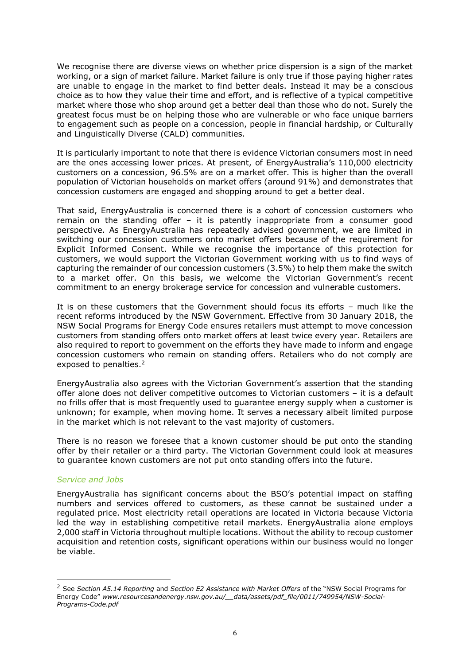We recognise there are diverse views on whether price dispersion is a sign of the market working, or a sign of market failure. Market failure is only true if those paying higher rates are unable to engage in the market to find better deals. Instead it may be a conscious choice as to how they value their time and effort, and is reflective of a typical competitive market where those who shop around get a better deal than those who do not. Surely the greatest focus must be on helping those who are vulnerable or who face unique barriers to engagement such as people on a concession, people in financial hardship, or Culturally and Linguistically Diverse (CALD) communities.

It is particularly important to note that there is evidence Victorian consumers most in need are the ones accessing lower prices. At present, of EnergyAustralia's 110,000 electricity customers on a concession, 96.5% are on a market offer. This is higher than the overall population of Victorian households on market offers (around 91%) and demonstrates that concession customers are engaged and shopping around to get a better deal.

That said, EnergyAustralia is concerned there is a cohort of concession customers who remain on the standing offer – it is patently inappropriate from a consumer good perspective. As EnergyAustralia has repeatedly advised government, we are limited in switching our concession customers onto market offers because of the requirement for Explicit Informed Consent. While we recognise the importance of this protection for customers, we would support the Victorian Government working with us to find ways of capturing the remainder of our concession customers (3.5%) to help them make the switch to a market offer. On this basis, we welcome the Victorian Government's recent commitment to an energy brokerage service for concession and vulnerable customers.

It is on these customers that the Government should focus its efforts – much like the recent reforms introduced by the NSW Government. Effective from 30 January 2018, the NSW Social Programs for Energy Code ensures retailers must attempt to move concession customers from standing offers onto market offers at least twice every year. Retailers are also required to report to government on the efforts they have made to inform and engage concession customers who remain on standing offers. Retailers who do not comply are exposed to penalties.<sup>2</sup>

EnergyAustralia also agrees with the Victorian Government's assertion that the standing offer alone does not deliver competitive outcomes to Victorian customers – it is a default no frills offer that is most frequently used to guarantee energy supply when a customer is unknown; for example, when moving home. It serves a necessary albeit limited purpose in the market which is not relevant to the vast majority of customers.

There is no reason we foresee that a known customer should be put onto the standing offer by their retailer or a third party. The Victorian Government could look at measures to guarantee known customers are not put onto standing offers into the future.

#### *Service and Jobs*

-

EnergyAustralia has significant concerns about the BSO's potential impact on staffing numbers and services offered to customers, as these cannot be sustained under a regulated price. Most electricity retail operations are located in Victoria because Victoria led the way in establishing competitive retail markets. EnergyAustralia alone employs 2,000 staff in Victoria throughout multiple locations. Without the ability to recoup customer acquisition and retention costs, significant operations within our business would no longer be viable.

<sup>2</sup> See *Section A5.14 Reporting* and *Section E2 Assistance with Market Offers* of the "NSW Social Programs for Energy Code" *www.resourcesandenergy.nsw.gov.au/\_\_data/assets/pdf\_file/0011/749954/NSW-Social-Programs-Code.pdf*